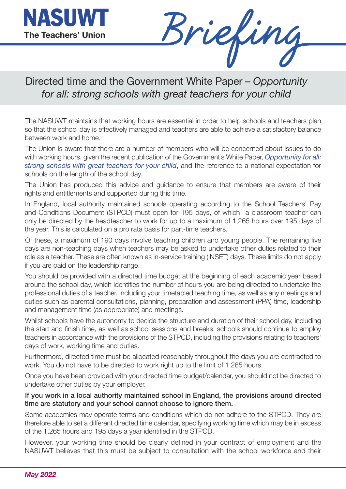

Directed time and the Government White Paper – *Opportunity for all: strong schools with great teachers for your child*

The NASUWT maintains that working hours are essential in order to help schools and teachers plan so that the school day is effectively managed and teachers are able to achieve a satisfactory balance between work and home.

The Union is aware that there are a number of members who will be concerned about issues to do with working hours, given the recent publication of the Government's White Paper, *Opportunity for all: strong schools with great teachers for your child*, and the reference to a national expectation for schools on the length of the school day.

The Union has produced this advice and guidance to ensure that members [are aware of their](https://www.gov.uk/government/publications/opportunity-for-all-strong-schools-with-great-teachers-for-your-child)  [rights and entitlements and supported during this tim](https://www.gov.uk/government/publications/opportunity-for-all-strong-schools-with-great-teachers-for-your-child)e.

In England, local authority maintained schools operating according to the School Teachers' Pay and Conditions Document (STPCD) must open for 195 days, of which a classroom teacher can only be directed by the headteacher to work for up to a maximum of 1,265 hours over 195 days of the year. This is calculated on a pro rata basis for part-time teachers.

Of these, a maximum of 190 days involve teaching children and young people. The remaining five days are non-teaching days when teachers may be asked to undertake other duties related to their role as a teacher. These are often known as in-service training (INSET) days. These limits do not apply if you are paid on the leadership range.

You should be provided with a directed time budget at the beginning of each academic year based around the school day, which identifies the number of hours you are being directed to undertake the professional duties of a teacher, including your timetabled teaching time, as well as any meetings and duties such as parental consultations, planning, preparation and assessment (PPA) time, leadership and management time (as appropriate) and meetings.

Whilst schools have the autonomy to decide the structure and duration of their school day, including the start and finish time, as well as school sessions and breaks, schools should continue to employ teachers in accordance with the provisions of the STPCD, including the provisions relating to teachers' days of work, working time and duties.

Furthermore, directed time must be allocated reasonably throughout the days you are contracted to work. You do not have to be directed to work right up to the limit of 1,265 hours.

Once you have been provided with your directed time budget/calendar, you should not be directed to undertake other duties by your employer.

## **If you work in a local authority maintained school in England, the provisions around directed time are statutory and your school cannot choose to ignore them.**

Some academies may operate terms and conditions which do not adhere to the STPCD. They are therefore able to set a different directed time calendar, specifying working time which may be in excess of the 1,265 hours and 195 days a year identified in the STPCD.

However, your working time should be clearly defined in your contract of employment and the NASUWT believes that this must be subject to consultation with the school workforce and their